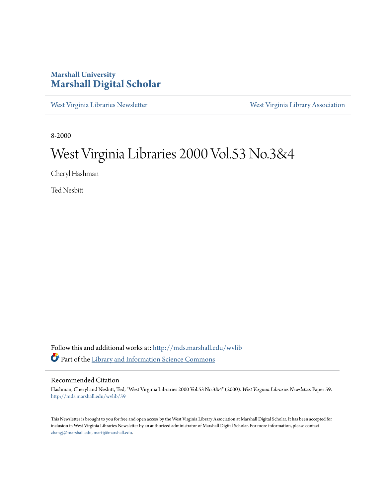### **Marshall University [Marshall Digital Scholar](http://mds.marshall.edu?utm_source=mds.marshall.edu%2Fwvlib%2F59&utm_medium=PDF&utm_campaign=PDFCoverPages)**

[West Virginia Libraries Newsletter](http://mds.marshall.edu/wvlib?utm_source=mds.marshall.edu%2Fwvlib%2F59&utm_medium=PDF&utm_campaign=PDFCoverPages) [West Virginia Library Association](http://mds.marshall.edu/wvla?utm_source=mds.marshall.edu%2Fwvlib%2F59&utm_medium=PDF&utm_campaign=PDFCoverPages)

8-2000

## West Virginia Libraries 2000 Vol.53 No.3&4

Cheryl Hashman

Ted Nesbitt

Follow this and additional works at: [http://mds.marshall.edu/wvlib](http://mds.marshall.edu/wvlib?utm_source=mds.marshall.edu%2Fwvlib%2F59&utm_medium=PDF&utm_campaign=PDFCoverPages) Part of the [Library and Information Science Commons](http://network.bepress.com/hgg/discipline/1018?utm_source=mds.marshall.edu%2Fwvlib%2F59&utm_medium=PDF&utm_campaign=PDFCoverPages)

#### Recommended Citation

Hashman, Cheryl and Nesbitt, Ted, "West Virginia Libraries 2000 Vol.53 No.3&4" (2000). *West Virginia Libraries Newsletter.* Paper 59. [http://mds.marshall.edu/wvlib/59](http://mds.marshall.edu/wvlib/59?utm_source=mds.marshall.edu%2Fwvlib%2F59&utm_medium=PDF&utm_campaign=PDFCoverPages)

This Newsletter is brought to you for free and open access by the West Virginia Library Association at Marshall Digital Scholar. It has been accepted for inclusion in West Virginia Libraries Newsletter by an authorized administrator of Marshall Digital Scholar. For more information, please contact [zhangj@marshall.edu, martj@marshall.edu](mailto:zhangj@marshall.edu,%20martj@marshall.edu).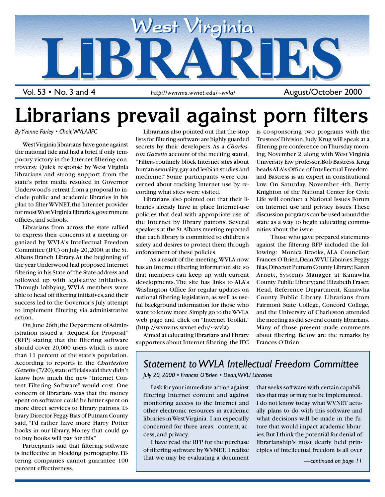

Vol. 53 • No. 3 and 4

*http://wvnvms.wvnet.edu/~wvla/* August/October 2000

# **Librarians prevail against porn filters**

*By Yvonne Farley • Chair, WVLA/IFC*

West Virginia librarians have gone against the national tide and had a brief, if only temporary victory in the Internet filtering controversy. Quick response by West Virginia librarians and strong support from the state's print media resulted in Governor Underwood's retreat from a proposal to include public and academic libraries in his plan to filter WVNET, the Internet provider for most West Virginia libraries, government offices, and schools.

Librarians from across the state rallied to express their concerns at a meeting organized by WVLA's Intellectual Freedom Committee (IFC) on July 20, 2000, at the St. Albans Branch Library. At the beginning of the year Underwood had proposed Internet filtering in his State of the State address and followed up with legislative initiatives. Through lobbying, WVLA members were able to head off filtering initiatives, and their success led to the Governor's July attempt to implement filtering via administrative action.

On June 26th, the Department of Administration issued a "Request for Proposal" (RFP) stating that the filtering software should cover 20,000 users which is more than 11 percent of the state's population. According to reports in the *Charleston Gazette* (7/20), state officials said they didn't know how much the new "Internet Content Filtering Software" would cost. One concern of librarians was that the money spent on software could be better spent on more direct services to library patrons. Library Director Peggy Bias of Putnam County said, "I'd rather have more Harry Potter books in our library. Money that could go to buy books will pay for this."

Participants said that filtering software is ineffective at blocking pornography. Filtering companies cannot guarantee 100 percent effectiveness.

Librarians also pointed out that the stop lists for filtering software are highly guarded secrets by their developers. As a *Charleston Gazette* account of the meeting stated, "Filters routinely block Internet sites about human sexuality, gay and lesbian studies and medicine." Some participants were concerned about tracking Internet use by recording what sites were visited.

Librarians also pointed out that their libraries already have in place Internet-use policies that deal with appropriate use of the Internet by library patrons. Several speakers at the St. Albans meeting reported that each library is committed to children's safety and desires to protect them through enforcement of these policies.

 As a result of the meeting, WVLA now has an Internet filtering information site so that members can keep up with current developments. The site has links to ALA's Washington Office for regular updates on national filtering legislation, as well as useful background information for those who want to know more. Simply go to the WVLA web page and click on "Internet Toolkit." (http://wvnvms.wvnet.edu/~wvla)

Aimed at educating librarians and library supporters about Internet filtering, the IFC is co-sponsoring two programs with the Trustees' Division. Judy Krug will speak at a filtering pre-conference on Thursday morning, November 2, along with West Virginia University law professor, Bob Bastress. Krug heads ALA's Office of Intellectual Freedom, and Bastress is an expert in constitutional law. On Saturday, November 4th, Betty Knighton of the National Center for Civic Life will conduct a National Issues Forum on Internet use and privacy issues. These discussion programs can be used around the state as a way to begin educating communities about the issue.

 Those who gave prepared statements against the filtering RFP included the following: Monica Brooks, ALA Councilor; Frances O'Brien, Dean, WVU Libraries; Peggy Bias, Director, Putnam County Library; Karen Arnett, Systems Manager at Kanawha County Public Library; and Elizabeth Fraser, Head, Reference Department, Kanawha County Public Library. Librarians from Fairmont State College, Concord College, and the University of Charleston attended the meeting as did several county librarians. Many of those present made comments about filtering. Below are the remarks by Frances O'Brien:

### *Statement to WVLA Intellectual Freedom Committee*

*July 20, 2000 • Frances O'Brien • Dean, WVU Libraries*

I ask for your immediate action against filtering Internet content and against monitoring access to the Internet and other electronic resources in academic libraries in West Virginia. I am especially concerned for three areas: content, access, and privacy.

I have read the RFP for the purchase of filtering software by WVNET. I realize that we may be evaluating a document

that seeks software with certain capabilities that may or may not be implemented. I do not know today what WVNET actually plans to do with this software and what decisions will be made in the future that would impact academic libraries. But I think the potential for denial of librarianship's most dearly held principles of intellectual freedom is all over

1 August/October 2000

*—continued on page 11*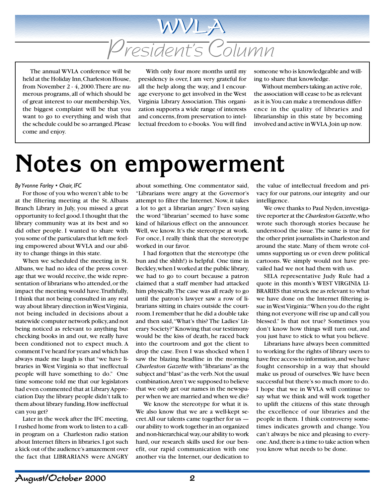

The annual WVLA conference will be held at the Holiday Inn, Charleston House, from November 2 - 4, 2000. There are numerous programs, all of which should be of great interest to our membership. Yes, the biggest complaint will be that you want to go to everything and wish that the schedule could be so arranged. Please come and enjoy.

With only four more months until my presidency is over, I am very grateful for all the help along the way, and I encourage everyone to get involved in the West Virginia Library Association. This organization supports a wide range of interests and concerns, from preservation to intellectual freedom to e-books. You will find

someone who is knowledgeable and willing to share that knowledge.

Without members taking an active role, the association will cease to be as relevant as it is. You can make a tremendous difference in the quality of libraries and librarianship in this state by becoming involved and active in WVLA. Join up now.

# **Notes on empowerment**

#### *By Yvonne Farley • Chair, IFC*

For those of you who weren't able to be at the filtering meeting at the St. Albans Branch Library in July, you missed a great opportunity to feel good. I thought that the library community was at its best and so did other people. I wanted to share with you some of the particulars that left me feeling empowered about WVLA and our ability to change things in this state.

When we scheduled the meeting in St. Albans, we had no idea of the press coverage that we would receive, the wide representation of librarians who attended, or the impact the meeting would have. Truthfully, I think that not being consulted in any real way about library direction in West Virginia, not being included in decisions about a statewide computer network policy, and not being noticed as relevant to anything but checking books in and out, we really have been conditioned not to expect much. A comment I've heard for years and which has always made me laugh is that "we have libraries in West Virginia so that ineffectual people will have something to do." One time someone told me that our legislators had even commented that at Library Appreciation Day the library people didn't talk to them about library funding. How ineffectual can you get?

Later in the week after the IFC meeting, I rushed home from work to listen to a callin program on a Charleston radio station about Internet filters in libraries. I got such a kick out of the audience's amazement over the fact that LIBRARIANS were ANGRY about something. One commentator said, "Librarians were angry at the Governor's attempt to filter the Internet. Now, it takes a lot to get a librarian angry." Even saying the word "librarian" seemed to have some kind of hilarious effect on the announcer. Well, we know. It's the stereotype at work. For once, I really think that the stereotype worked in our favor.

I had forgotten that the stereotype (the bun and the shhh!) is helpful. One time in Beckley, when I worked at the public library, we had to go to court because a patron claimed that a staff member had attacked him physically. The case was all ready to go until the patron's lawyer saw a row of librarians sitting in chairs outside the courtroom. I remember that he did a double take and then said, "What's this? The Ladies' Literary Society?" Knowing that our testimony would be the kiss of death, he raced back into the courtroom and got the client to drop the case. Even I was shocked when I saw the blazing headline in the morning *Charleston Gazette* with "librarians" as the subject and "blast" as the verb. Not the usual combination. Aren't we supposed to believe that we only get our names in the newspaper when we are married and when we die?

We know the stereotype for what it is. We also know that we are a well-kept secret. All our talents came together for us our ability to work together in an organized and non-hierarchical way, our ability to work hard, our research skills used for our benefit, our rapid communication with one another via the Internet, our dedication to

the value of intellectual freedom and privacy for our patrons, our integrity and our intelligence.

We owe thanks to Paul Nyden, investigative reporter at the *Charleston Gazette*, who wrote such thorough stories because he understood the issue. The same is true for the other print journalists in Charleston and around the state. Many of them wrote columns supporting us or even drew political cartoons. We simply would not have prevailed had we not had them with us.

SELA representative Judy Rule had a quote in this month's WEST VIRGINIA LI-BRARIES that struck me as relevant to what we have done on the Internet filtering issue in West Virginia: "When you do the right thing not everyone will rise up and call you blessed." Is that not true? Sometimes you don't know how things will turn out, and you just have to stick to what you believe.

Librarians have always been committed to working for the rights of library users to have free access to information, and we have fought censorship in a way that should make us proud of ourselves. We have been successful but there's so much more to do. I hope that we in WVLA will continue to say what we think and will work together to uplift the citizens of this state through the excellence of our libraries and the people in them. I think controversy sometimes indicates growth and change. You can't always be nice and pleasing to everyone. And, there is a time to take action when you know what needs to be done.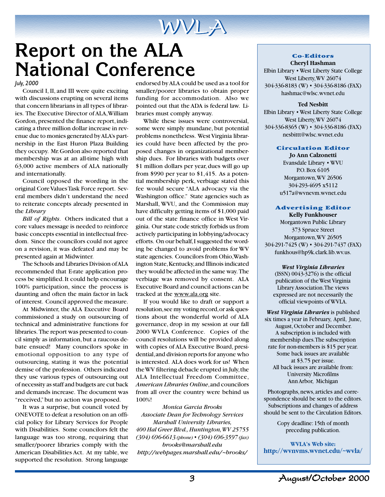

## **Report on the ALA National Conference**

*July, 2000*

Council I, II, and III were quite exciting with discussions erupting on several items that concern librarians in all types of libraries. The Executive Director of ALA, William Gordon, presented the finance report, indicating a three million dollar increase in revenue due to monies generated by ALA's partnership in the East Huron Plaza Building they occupy. Mr. Gordon also reported that membership was at an all-time high with 63,000 active members of ALA nationally and internationally.

Council opposed the wording in the original Core Values Task Force report. Several members didn't understand the need to reiterate concepts already presented in the *Library*

*Bill of Rights*. Others indicated that a core values message is needed to reinforce basic concepts essential in intellectual freedom. Since the councilors could not agree on a revision, it was defeated and may be presented again at Midwinter.

The Schools and Libraries Division of ALA recommended that E-rate application process be simplified. It could help encourage 100% participation, since the process is daunting and often the main factor in lack of interest. Council approved the measure.

At Midwinter, the ALA Executive Board commissioned a study on outsourcing of technical and administrative functions for libraries. The report was presented to council simply as information, but a raucous debate ensued! Many councilors spoke in emotional opposition to any type of outsourcing, stating it was the potential demise of the profession. Others indicated they use various types of outsourcing out of necessity as staff and budgets are cut back and demands increase. The document was "received," but no action was proposed.

It was a surprise, but council voted by ONE VOTE to defeat a resolution on an official policy for Library Services for People with Disabilities. Some councilors felt the language was too strong, requiring that smaller/poorer libraries comply with the American Disabilities Act. At my table, we supported the resolution. Strong language

endorsed by ALA could be used as a tool for smaller/poorer libraries to obtain proper funding for accommodation. Also we pointed out that the ADA is federal law. Libraries must comply anyway.

While these issues were controversial, some were simply mundane, but potential problems nonetheless. West Virginia libraries could have been affected by the proposed changes in organizational membership dues. For libraries with budgets over \$1 million dollars per year, dues will go up from \$990 per year to \$1,415. As a potential membership perk, verbiage stated this fee would secure "ALA advocacy via the Washington office." State agencies such as Marshall, WVU, and the Commission may have difficulty getting items of \$1,000 paid out of the state finance office in West Virginia. Our state code strictly forbids us from actively participating in lobbying/advocacy efforts. On our behalf, I suggested the wording be changed to avoid problems for WV state agencies. Councilors from Ohio, Washington State, Kentucky, and Illinois indicated they would be affected in the same way. The verbiage was removed by consent. ALA Executive Board and council actions can be tracked at the www.ala.org site.

If you would like to draft or support a resolution, see my voting record, or ask questions about the wonderful world of ALA governance, drop in my session at our fall 2000 WVLA Conference. Copies of the council resolutions will be provided along with copies of ALA Executive Board, presidential, and division reports for anyone who is interested. ALA does work for us! When the WV filtering debacle erupted in July, the ALA Intellectual Freedom Committee, *American Libraries Online*, and councilors from all over the country were behind us 100%!

*Monica Garcia Brooks Associate Dean for Technology Services Marshall University Libraries, 400 Hal Greer Blvd., Huntington, WV 25755 (304) 696-6613 (phone) • (304) 696-3597 (fax) brooks@marshall.edu http://webpages.marshall.edu/~brooks/*

#### **Co-Editors Cheryl Hashman**

Elbin Library • West Liberty State College West Liberty, WV 26074 304-336-8183 (W) • 304-336-8186 (FAX) hashmac@wlsc.wvnet.edu

#### **Ted Nesbitt**

Elbin Library • West Liberty State College West Liberty, WV 26074 304-336-8365 (W) • 304-336-8186 (FAX) nesbittt@wlsc.wvnet.edu

#### **Circulation Editor**

**Jo Ann Calzonetti** Evansdale Library • WVU P.O. Box 6105 Morgantown, WV 26506

304-293-4695 x5112 u517a@wvnevm.wvnet.edu

#### **Advertising Editor**

**Kelly Funkhouser** Morgantown Public Library 373 Spruce Street Morgantown, WV 26505 304-291-7425 (W) • 304-291-7437 (FAX) funkhous@hp9k.clark.lib.wv.us.

#### *West Virginia Libraries*

(ISSN) 0043-3276) is the official publication of the West Virginia Library Association. The views expressed are not necessarily the official viewpoints of WVLA.

*West Virginia Libraries* is published six times a year in February, April, June, August, October and December. A subscription is included with membership dues. The subscription rate for non-members is \$15 per year. Some back issues are available at \$3.75 per issue. All back issues are available from: University Microfilms Ann Arbor, Michigan

Photographs, news, articles and correspondence should be sent to the editors. Subscriptions and changes of address should be sent to the Circulation Editors.

> Copy deadline: 15th of month preceding publication.

**WVLA's Web site: http://wvnvms.wvnet.edu/~wvla/**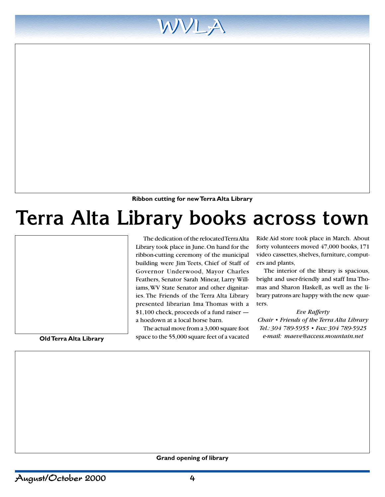#### **Ribbon cutting for new Terra Alta Library**

WVLA

## **Terra Alta Library books across town**



**Old Terra Alta Library**

The dedication of the relocated Terra Alta Library took place in June. On hand for the ribbon-cutting ceremony of the municipal building were Jim Teets, Chief of Staff of Governor Underwood, Mayor Charles Feathers, Senator Sarah Minear, Larry Williams, WV State Senator and other dignitaries. The Friends of the Terra Alta Library presented librarian Ima Thomas with a \$1,100 check, proceeds of a fund raiser a hoedown at a local horse barn.

The actual move from a 3,000 square foot space to the 55,000 square feet of a vacated

Ride Aid store took place in March. About forty volunteers moved 47,000 books, 171 video cassettes, shelves, furniture, computers and plants,

The interior of the library is spacious, bright and user-friendly and staff Ima Thomas and Sharon Haskell, as well as the library patrons are happy with the new quarters.

*Eve Rafferty Chair • Friends of the Terra Alta Library Tel.: 304 789-5955 • Fax: 304 789-5925 e-mail: maeve@access.mountain.net*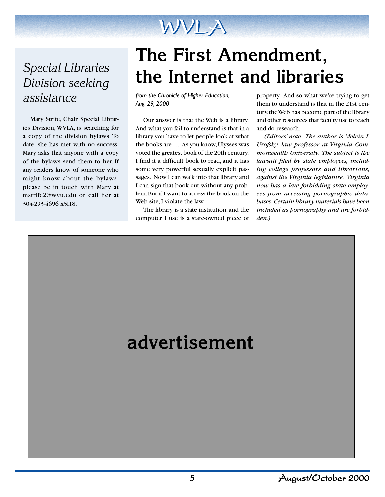## WVLA

# *Division seeking assistance*

Mary Strife, Chair, Special Libraries Division, WVLA, is searching for a copy of the division bylaws. To date, she has met with no success. Mary asks that anyone with a copy of the bylaws send them to her. If any readers know of someone who might know about the bylaws, please be in touch with Mary at mstrife2@wvu.edu or call her at 304-293-4696 x5l18.

# **The First Amendment, the Internet and libraries** *Special Libraries*

*from the Chronicle of Higher Education, Aug. 29, 2000*

Our answer is that the Web is a library. And what you fail to understand is that in a library you have to let people look at what the books are . . . . As you know, Ulysses was voted the greatest book of the 20th century. I find it a difficult book to read, and it has some very powerful sexually explicit passages. Now I can walk into that library and I can sign that book out without any problem. But if I want to access the book on the Web site, I violate the law.

The library is a state institution, and the computer I use is a state-owned piece of

property. And so what we're trying to get them to understand is that in the 21st century, the Web has become part of the library and other resources that faculty use to teach and do research.

*(Editors' note: The author is Melvin I. Urofsky, law professor at Virginia Commonwealth University. The subject is the lawsuit filed by state employees, including college professors and librarians, against the Virginia legislature. Virginia now has a law forbidding state employees from accessing pornographic databases. Certain library materials have been included as pornography and are forbidden.)*

## **advertisement**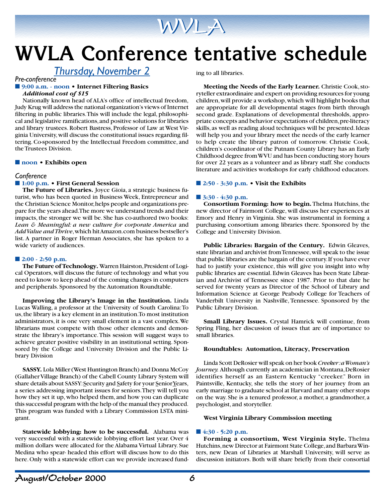

# **WVLA Conference tentative schedule**

### *Thursday, November 2*

#### *Pre-conference*

#### ■ **9:00 a.m. - noon • Internet Filtering Basics**

#### *Additional cost of \$15*

Nationally known head of ALA's office of intellectual freedom, Judy Krug will address the national organization's views of Internet filtering in public libraries. This will include the legal, philosophical and legislative ramifications, and positive solutions for libraries and library trustees. Robert Bastress, Professor of Law at West Virginia University, will discuss the constitutional issues regarding filtering. Co-sponsored by the Intellectual Freedom committee, and the Trustees Division.

#### ■ **noon** • Exhibits open

#### *Conference*

#### ■ **1:00 p.m. • First General Session**

**The Future of Libraries.** Joyce Gioia, a strategic business futurist, who has been quoted in Business Week, Entrepreneur and the Christian Science Monitor, helps people and organizations prepare for the years ahead. The more we understand trends and their impacts, the stronger we will be. She has co-authored two books: *Lean & Meaningful: a new culture for corporate America* and *Add Value and Thrive*, which hit Amazon.com business bestseller's list. A partner in Roger Herman Associates, she has spoken to a wide variety of audiences.

#### ■ 2:00 - 2:50 p.m.

**The Future of Technology.** Warren Hairston, President of Logical Operators, will discuss the future of technology and what you need to know to keep ahead of the coming changes in computers and peripherals. Sponsored by the Automation Roundtable.

**Improving the Library's Image in the Institution.** Linda Lucas Walling, a professor at the University of South Carolina: To us, the library is a key element in an institution. To most institution administrators, it is one very small element in a vast complex. We librarians must compete with those other elements and demonstrate the library's importance. This session will suggest ways to achieve greater positive visibility in an institutional setting. Sponsored by the College and University Division and the Public Library Division

**SASSY.** Lola Miller (West Huntington Branch) and Donna McCoy (Gallaher Village Branch) of the Cabell County Library System will share details about SASSY: Security and Safety for your Senior Years, a series addressing important issues for seniors. They will tell you how they set it up, who helped them, and how you can duplicate this successful program with the help of the manual they produced. This program was funded with a Library Commission LSTA minigrant.

**Statewide lobbying: how to be successful.** Alabama was very successful with a statewide lobbying effort last year. Over 4 million dollars were allocated for the Alabama Virtual Library. Sue Medina who spear- headed this effort will discuss how to do this here. Only with a statewide effort can we provide increased funding to all libraries.

**Meeting the Needs of the Early Learner.** Christie Cook, storyteller extraordinaire and expert on providing resources for young children, will provide a workshop, which will highlight books that are appropriate for all developmental stages from birth through second grade. Explanations of developmental thresholds, appropriate concepts and behavior expectations of children, pre-literacy skills, as well as reading aloud techniques will be presented. Ideas will help you and your library meet the needs of the early learner to help create the library patron of tomorrow. Christie Cook, children's coordinator of the Putnam County Library has an Early Childhood degree from WVU and has been conducting story hours for over 22 years as a volunteer and as library staff. She conducts literature and activities workshops for early childhood educators.

#### ■ 2:50 - 3:30 p.m. • Visit the Exhibits

#### ■ 3:30 - 4:30 p.m.

**Consortium Forming: how to begin.** Thelma Hutchins, the new director of Fairmont College, will discuss her experiences at Emory and Henry in Virginia. She was instrumental in forming a purchasing consortium among libraries there. Sponsored by the College and University Division.

**Public Libraries: Bargain of the Century.** Edwin Gleaves, state librarian and archivist from Tennessee, will speak to the issue that public libraries are the bargain of the century. If you have ever had to justify your existence, this will give you insight into why public libraries are essential. Edwin Gleaves has been State Librarian and Archivist of Tennessee since 1987. Prior to that date he served for twenty years as Director of the School of Library and Information Science at George Peabody College for Teachers of Vanderbilt University in Nashville, Tennessee. Sponsored by the Public Library Division.

**Small Library Issues.** Crystal Hamrick will continue, from Spring Fling, her discussion of issues that are of importance to small libraries.

#### **Roundtables: Automation, Literacy, Preservation**

Linda Scott DeRosier will speak on her book *Creeker: a Woman's Journey.* Although currently an academician in Montana, DeRosier identifies herself as an Eastern Kentucky "creeker." Born in Paintsville, Kentucky, she tells the story of her journey from an early marriage to graduate school at Harvard and many other stops on the way. She is a tenured professor, a mother, a grandmother, a psychologist, and storyteller.

#### **West Virginia Library Commission meeting**

#### ■ 4:30 - 5:20 p.m.

**Forming a consortium, West Virginia Style.** Thelma Hutchins, new Director at Fairmont State College, and Barbara Winters, new Dean of Libraries at Marshall University, will serve as discussion initiators. Both will share briefly from their consortial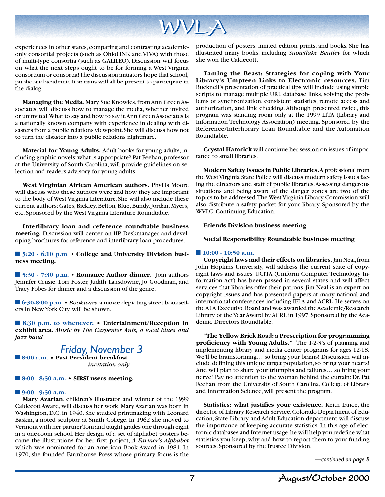

experiences in other states, comparing and contrasting academiconly consortial projects (such as OhioLINK and VIVA) with those of multi-type consortia (such as GALILEO). Discussion will focus on what the next steps ought to be for forming a West Virginia consortium or consortia! The discussion initiators hope that school, public, and academic librarians will all be present to participate in the dialog.

**Managing the Media.** Mary Sue Knowles, from Ann Green Associates, will discuss how to manage the media, whether invited or uninvited. What to say and how to say it. Ann Green Associates is a nationally known company with experience in dealing with disasters from a public relations viewpoint. She will discuss how not to turn the disaster into a public relations nightmare.

**Material for Young Adults.** Adult books for young adults, including graphic novels: what is appropriate? Pat Feehan, professor at the University of South Carolina, will provide guidelines on selection and readers advisory for young adults.

**West Virginian African American authors.** Phyllis Moore will discuss who these authors were and how they are important to the body of West Virginia Literature. She will also include these current authors: Gates, Bickley, Belton, Blue, Bundy, Jordan, Myers, etc. Sponsored by the West Virginia Literature Roundtable.

**Interlibrary loan and reference roundtable business meeting.** Discussion will center on HP Deskmanager and developing brochures for reference and interlibrary loan procedures.

■ **5:20 - 6:10 p.m**. • **College and University Division business meeting.**

■ **5:30 - 7:30 p.m.** • **Romance Author dinner.** Join authors Jennifer Crusie, Lori Foster, Judith Lansdowne, Jo Goodman, and Tracy Fobes for dinner and a discussion of the genre.

■ 6:30-8:00 **p.m.** • *Bookwars*, a movie depicting street booksellers in New York City, will be shown.

■ 8:30 p.m. to whenever. • Entertainment/Reception in **exhibit area.** *Music by The Carpenter Ants, a local blues and jazz band.*

### *Friday, November 3*

■ 8:00 a.m. • Past President breakfast  *invitation only*

#### ■ 8:00 - 8:50 a.m. • SIRSI users meeting.

#### ■ 9:00 - 9:50 a.m.

**Mary Azarian**, children's illustrator and winner of the 1999 Caldecott Award, will discuss her work. Mary Azarian was born in Washington, D.C. in 1940. She studied printmaking with Leonard Baskin, a noted sculptor, at Smith College. In 1962 she moved to Vermont with her partner Tom and taught grades one through eight in a one-room school. Her design of a set of alphabet posters became the illustrations for her first project, *A Farmer's Alphabet* which was nominated for an American Book Award in 1981. In 1970, she founded Farmhouse Press whose primary focus is the

production of posters, limited edition prints, and books. She has illustrated many books, including *Snowflake Bentley* for which she won the Caldecott.

**Taming the Beast: Strategies for coping with Your Library's Umpteen Links to Electronic resources.** Tim Bucknell's presentation of practical tips will include using simple scripts to manage multiple URL database links, solving the problems of synchronization, consistent statistics, remote access and authorization, and link checking. Although presented twice, this program was standing room only at the 1999 LITA (Library and Information Technology Association) meeting. Sponsored by the Reference/Interlibrary Loan Roundtable and the Automation Roundtable.

**Crystal Hamrick** will continue her session on issues of importance to small libraries.

**Modern Safety Issues in Public Libraries.** A professional from the West Virginia State Police will discuss modern safety issues facing the directors and staff of public libraries. Assessing dangerous situations and being aware of the danger zones are two of the topics to be addressed. The West Virginia Library Commission will also distribute a safety packet for your library. Sponsored by the WVLC, Continuing Education.

#### **Friends Division business meeting**

#### **Social Responsibility Roundtable business meeting**

#### ■ **10:00 - 10:50 a.m.**

**Copyright laws and their effects on libraries.** Jim Neal, from John Hopkins University, will address the current state of copyright laws and issues. UCITA (Uniform Computer Technology Information Act) has been passed in several states and will affect services that libraries offer their patrons. Jim Neal is an expert on copyright issues and has presented papers at many national and international conferences including IFLA and ACRL. He serves on the ALA Executive Board and was awarded the Academic/Research Library of the Year Award by ACRL in 1997. Sponsored by the Academic Directors Roundtable.

**"The Yellow Brick Road: a Prescription for programming proficiency with Young Adults."** The 1-2-3's of planning and implementing library and media center programs for ages 12-18. We'll be brainstorming… so bring your brains! Discussion will include defining this unique target population, so bring your hearts! And will plan to share your triumphs and failures… so bring your nerve! Pay no attention to the woman behind the curtain: Dr. Pat Feehan, from the University of South Carolina, College of Library and Information Science, will present the program.

**Statistics: what justifies your existence.** Keith Lance, the director of Library Research Service, Colorado Department of Education, State Library and Adult Education department will discuss the importance of keeping accurate statistics. In this age of electronic databases and Internet usage, he will help you redefine what statistics you keep; why and how to report them to your funding sources. Sponsored by the Trustee Division.

*—continued on page 8*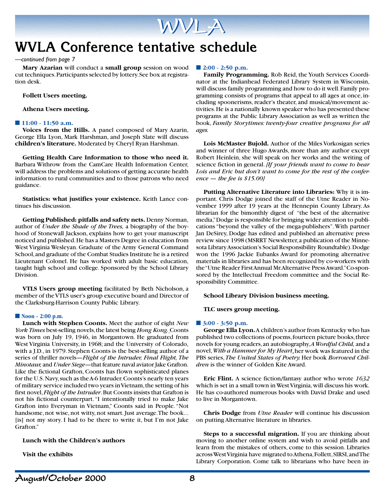

## **WVLA Conference tentative schedule**

#### *—continued from page 7*

**Mary Azarian** will conduct a **small group** session on wood cut techniques. Participants selected by lottery. See box at registration desk.

**Follett Users meeting.**

**Athena Users meeting.**

#### ■**11:00 - 11:50 a.m.**

**Voices from the Hills.** A panel composed of Mary Azarin, George Ella Lyon, Mark Harshman, and Joseph Slate will discuss **children's literature.** Moderated by Cheryl Ryan Harshman.

**Getting Health Care Information to those who need it.** Barbara Withrow from the CamCare Health Information Center, will address the problems and solutions of getting accurate health information to rural communities and to those patrons who need guidance.

**Statistics: what justifies your existence.** Keith Lance continues his discussion.

**Getting Published: pitfalls and safety nets.** Denny Norman, author of *Under the Shade of the Trees,* a biography of the boyhood of Stonewall Jackson, explains how to get your manuscript noticed and published. He has a Masters Degree in education from West Virginia Wesleyan. Graduate of the Army General Command School, and graduate of the Combat Studies Institute he is a retired Lieutenant Colonel. He has worked with adult basic education, taught high school and college. Sponsored by the School Library Division.

**VTLS Users group meeting** facilitated by Beth Nicholson, a member of the VTLS user's group executive board and Director of the Clarksburg-Harrison County Public Library.

#### ■ **Noon** - 2:00 p.m.

**Lunch with Stephen Coonts.** Meet the author of eight *New York Times* best-selling novels, the latest being *Hong Kong.* Coonts was born on July 19, 1946, in Morgantown. He graduated from West Virginia University, in 1968; and the University of Colorado, with a J.D., in 1979. Stephen Coonts is the best-selling author of a series of thriller novels*—Flight of the Intruder, Final Flight, The Minotaur,* and *Under Siege*—that feature naval aviator Jake Grafton. Like the fictional Grafton, Coonts has flown sophisticated planes for the U.S. Navy, such as the A-6 Intruder. Coonts's nearly ten years of military service included two years in Vietnam, the setting of his first novel, *Flight of the Intruder*. But Coonts insists that Grafton is not his fictional counterpart. "I intentionally tried to make Jake Grafton into Everyman in Vietnam," Coonts said in People. "Not handsome, not wise, not witty, not smart. Just average. The book... [is] not my story. I had to be there to write it, but I'm not Jake Grafton."

#### **Lunch with the Children's authors**

**Visit the exhibits**

#### ■ 2:00 - 2:50 p.m.

**Family Programming.** Rob Reid, the Youth Services Coordinator at the Indianhead Federated Library System in Wisconsin, will discuss family programming and how to do it well. Family programming consists of programs that appeal to all ages at once, including spoonerisms, reader's theater, and musical/movement activities. He is a nationally known speaker who has presented these programs at the Public Library Association as well as written the book, *Family Storytimes: twenty-four creative programs for all ages.*

**Lois McMaster Bujold.** Author of the Miles Vorkosigan series and winner of three Hugo Awards, more than any author except Robert Heinlein, she will speak on her works and the writing of science fiction in general. *[If your friends want to come to hear Lois and Eric but don't want to come for the rest of the conference — the fee is \$15.00]*

**Putting Alternative Literature into Libraries:** Why it is important. Chris Dodge joined the staff of the Utne Reader in November 1999 after 19 years at the Hennepin County Library. As librarian for the bimonthly digest of "the best of the alternative media," Dodge is responsible for bringing wider attention to publications "beyond the valley of the mega-publishers". With partner Jan DeSirey, Dodge has edited and published an alternative press review since 1998 (MSRRT Newsletter, a publication of the Minnesota Library Association's Social Responsibility Roundtable). Dodge won the 1996 Jackie Eubanks Award for promoting alternative materials in libraries and has been recognized by co-workers with the "Utne Reader First Annual Mr. Alternative Press Award." Co-sponsored by the Intellectual Freedom committee and the Social Responsibility Committee.

#### **School Library Division business meeting.**

#### **TLC users group meeting.**

#### ■ 3:00 - 3:50 p.m.

**George Ella Lyon.** A children's author from Kentucky who has published two collections of poems, fourteen picture books, three novels for young readers, an autobiography, *A Wordful Child,* and a novel, *With a Hammer for My Heart*, her work was featured in the PBS series, *The United States of Poetry.* Her book *Borrowed Children* is the winner of Golden Kite Award.

**Eric Flint.** A science fiction/fantasy author who wrote *1632* which is set in a small town in West Virginia, will discuss his work. He has co-authored numerous books with David Drake and used to live in Morgantown.

**Chris Dodge** from *Utne Reader* will continue his discussion on putting Alternative literature in libraries.

**Steps to a successful migration.** If you are thinking about moving to another online system and wish to avoid pitfalls and learn from the mistakes of others, come to this session. Libraries across West Virginia have migrated to Athena, Follett, SIRSI, and The Library Corporation. Come talk to librarians who have been in-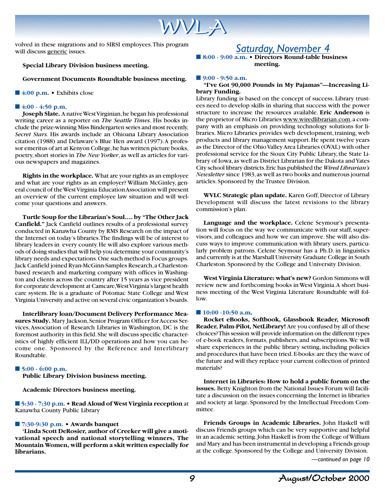

volved in these migrations and to SIRSI employees. This program will discuss generic issues.

#### **Special Library Division business meeting.**

#### **Government Documents Roundtable business meeting.**

■ 4:00 p.m. • Exhibits close

#### ■**4:00 - 4:50 p.m.**

**Joseph Slate.** A native West Virginian, he began his professional writing career as a reporter on *The Seattle Times*. His books include the prize-winning Miss Bindergarten series and most recently, *Secret Stars*. His awards include an Ohioana Library Association citation (1988) and Delaware's Blue Hen award (1997). A professor emeritus of art at Kenyon College, he has written picture books, poetry, short stories in *The New Yorker*, as well as articles for various newspapers and magazines.

**Rights in the workplace.** What are your rights as an employee and what are your rights as an employer? William McGinley, general council of the West Virginia Education Association will present an overview of the current employee law situation and will welcome your questions and answers.

**Turtle Soup for the Librarian's Soul…. by "The Other Jack Canfield."** Jack Canfield outlines results of a professional survey conducted in Kanawha County by RMS Research on the impact of the Internet on today's libraries. The findings will be of interest to library leaders in every county. He will also explore various methods of doing studies that will help you determine your community's library needs and expectations. One such method is Focus groups. Jack Canfield joined Ryan-McGinn-Samples Research, a Charlestonbased research and marketing company with offices in Washington and clients across the country after 15 years as vice president for corporate development at Camcare, West Virginia's largest health care system. He is a graduate of Potomac State College and West Virginia University and active on several civic organization's boards.

**Interlibrary loan/Document Delivery Performance Measures Study.** Mary Jackson, Senior Program Officer for Access Services, Association of Research Libraries in Washington, DC is the foremost authority in this field. She will discuss specific characteristics of highly efficient ILL/DD operations and how you can become one. Sponsored by the Reference and Interlibrary Roundtable.

■ 5:00 - 6:00 p.m. **Public Library Division business meeting.**

**Academic Directors business meeting.**

■ **5:30 - 7:30 p.m. • Read Aloud of West Virginia reception** at Kanawha County Public Library

#### ■ **7:30-9:30 p.m. • Awards banquet**

**'Linda Scott DeRosier, author of Creeker will give a motivational speech and national storytelling winners, The Mountain Women, will perform a skit written especially for librarians.**

### *Saturday, November 4*

■ **8:00 - 9:00 a.m. • Directors Round-table business meeting.**

#### ■ **9:00 - 9:50 a.m.**

#### **"I've Got 90,000 Pounds in My Pajamas"—Increasing Library Funding.**

Library funding is based on the concept of success. Library trustees need to develop skills in sharing that success with the power structure to increase the resources available. **Eric Anderson** is the proprietor of Micro Libraries www.wiredlibrarian.com, a company with an emphasis on providing technology solutions for libraries. Micro Libraries provides web development, training, web products and library management support. He spent twelve years as the Director of the Ohio Valley Area Libraries (OVAL) with other professional service for the Sioux City Public Library, the State Library of Iowa, as well as District Librarian for the Dakota and Yates City school library districts. Eric has published the *Wired Librarian's Newsletter* since 1983, as well as two books and numerous journal articles. Sponsored by the Trustee Division.

**WVLC Strategic plan update.** Karen Goff, Director of Library Development will discuss the latest revisions to the library commission's plan.

**Language and the workplace.** Celene Seymour's presentation will focus on the way we communicate with our staff, supervisors, and colleagues and how we can improve. She will also discuss ways to improve communication with library users, particularly problem patrons. Celene Seymour has a Ph.D. in linguistics and currently is at the Marshall University Graduate College in South Charleston. Sponsored by the College and University Division.

**West Virginia Literature: what's new?** Gordon Simmons will review new and forthcoming books in West Virginia. A short business meeting of the West Virginia Literature Roundtable will follow.

#### ■ 10:00 -10:50 a.m.

**Rocket eBooks, Softbook, Glassbook Reader, Microsoft Reader, Palm-Pilot, NetLibrary!** Are you confused by all of these choices? This session will provide information on the different types of e-book readers, formats, publishers, and subscriptions. We will share experiences in the public library setting, including policies and procedures that have been tried. E-books: are they the wave of the future and will they replace your current collection of printed materials?

**Internet in Libraries: How to hold a public forum on the issues.** Betty Knighton from the National Issues Forum will facilitate a discussion on the issues concerning the Internet in libraries and society at large. Sponsored by the Intellectual Freedom Committee.

**Friends Groups in Academic Libraries.** John Haskell will discuss Friends groups which can be very supportive and helpful in an academic setting. John Haskell is from the College of William and Mary and has been instrumental in developing a Friends group at the college. Sponsored by the College and University Division. *—continued on page 10*

9 August/October 2000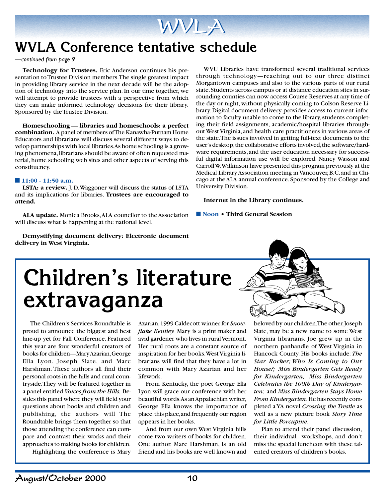

## **WVLA Conference tentative schedule**

#### *—continued from page 9*

**Technology for Trustees.** Eric Anderson continues his presentation to Trustee Division members. The single greatest impact in providing library service in the next decade will be the adoption of technology into the service plan. In our time together, we will attempt to provide trustees with a perspective from which they can make informed technology decisions for their library. Sponsored by the Trustee Division.

**Homeschooling — libraries and homeschools: a perfect combination.** A panel of members of The Kanawha-Putnam Home Educators and librarians will discuss several different ways to develop partnerships with local libraries. As home schooling is a growing phenomena, librarians should be aware of often requested material, home schooling web sites and other aspects of serving this constituency.

#### ■**11:00 - 11:50 a.m.**

**LSTA: a review.** J. D. Waggoner will discuss the status of LSTA and its implications for libraries. **Trustees are encouraged to attend.**

**ALA update.** Monica Brooks, ALA councilor to the Association will discuss what is happening at the national level.

**Demystifying document delivery: Electronic document delivery in West Virginia.**

WVU Libraries have transformed several traditional services through technology—reaching out to our three distinct Morgantown campuses and also to the various parts of our rural state. Students across campus or at distance education sites in surrounding counties can now access Course Reserves at any time of the day or night, without physically coming to Colson Reserve Library. Digital document delivery provides access to current information to faculty unable to come to the library, students completing their field assignments, academic/hospital libraries throughout West Virginia, and health care practitioners in various areas of the state. The issues involved in getting full-text documents to the user's desktop, the collaborative efforts involved, the software/hardware requirements, and the user education necessary for successful digital information use will be explored. Nancy Wasson and Carroll W. Wilkinson have presented this program previously at the Medical Library Association meeting in Vancouver, B.C. and in Chicago at the ALA annual conference. Sponsored by the College and University Division.

#### **Internet in the Library continues.**

■ **Noon • Third General Session** 

# **Children's literature extravaganza**

The Children's Services Roundtable is proud to announce the biggest and best line-up yet for Fall Conference. Featured this year are four wonderful creators of books for children—Mary Azarian, George Ella Lyon, Joseph Slate, and Marc Harshman. These authors all find their personal roots in the hills and rural countryside. They will be featured together in a panel entitled *Voices from the Hills.* Besides this panel where they will field your questions about books and children and publishing, the authors will The Roundtable brings them together so that those attending the conference can compare and contrast their works and their approaches to making books for children.

Highlighting the conference is Mary

Azarian, 1999 Caldecott winner for *Snowflake Bentley.* Mary is a print maker and avid gardener who lives in rural Vermont. Her rural roots are a constant source of inspiration for her books. West Virginia librarians will find that they have a lot in common with Mary Azarian and her lifework.

From Kentucky, the poet George Ella Lyon will grace our conference with her beautiful words. As an Appalachian writer, George Ella knows the importance of place, this place, and frequently our region appears in her books.

And from our own West Virginia hills come two writers of books for children. One author, Marc Harshman, is an old friend and his books are well known and

beloved by our children. The other, Joseph Slate, may be a new name to some West Virginia librarians. Joe grew up in the northern panhandle of West Virginia in Hancock County. His books include: *The Star Rocker; Who Is Coming to Our House?; Miss Bindergarten Gets Ready for Kindergarten; Miss Bindergarten Celebrates the 100th Day of Kindergarten;* and *Miss Bindergarten Stays Home From Kindergarten.* He has recently completed a YA novel *Crossing the Trestle* as well as a new picture book *Story Time for Little Porcupine*.

Plan to attend their panel discussion, their individual workshops, and don't miss the special luncheon with these talented creators of children's books.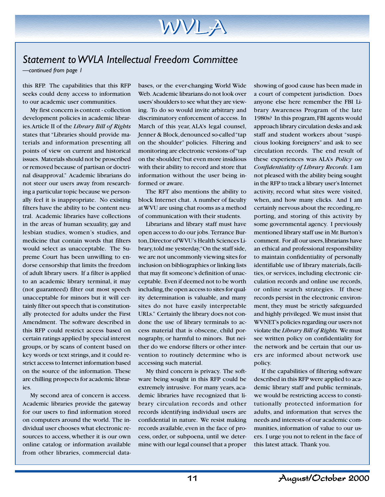

*—continued from page 1*

this RFP. The capabilities that this RFP seeks could deny access to information to our academic user communities.

My first concern is content - collection development policies in academic libraries. Article II of the *Library Bill of Rights* states that "Libraries should provide materials and information presenting all points of view on current and historical issues. Materials should not be proscribed or removed because of partisan or doctrinal disapproval." Academic librarians do not steer our users away from researching a particular topic because we personally feel it is inappropriate. No existing filters have the ability to be content neutral. Academic libraries have collections in the areas of human sexuality, gay and lesbian studies, women's studies, and medicine that contain words that filters would select as unacceptable. The Supreme Court has been unwilling to endorse censorship that limits the freedom of adult library users. If a filter is applied to an academic library terminal, it may (not guaranteed) filter out most speech unacceptable for minors but it will certainly filter out speech that is constitutionally protected for adults under the First Amendment. The software described in this RFP could restrict access based on certain ratings applied by special interest groups, or by scans of content based on key words or text strings, and it could restrict access to Internet information based on the source of the information. These are chilling prospects for academic libraries.

My second area of concern is access. Academic libraries provide the gateway for our users to find information stored on computers around the world. The individual user chooses what electronic resources to access, whether it is our own online catalog or information available from other libraries, commercial data-

bases, or the ever-changing World Wide Web. Academic librarians do not look over users' shoulders to see what they are viewing. To do so would invite arbitrary and discriminatory enforcement of access. In March of this year, ALA's legal counsel, Jenner & Block, denounced so-called "tap on the shoulder" policies. Filtering and monitoring are electronic versions of "tap on the shoulder," but even more insidious with their ability to record and store that information without the user being informed or aware.

WVLA

The RFT also mentions the ability to block Internet chat. A number of faculty at WVU are using chat rooms as a method of communication with their students.

Librarians and library staff must have open access to do our jobs. Terrance Burton, Director of WVU's Health Sciences Library, told me yesterday, "On the staff side, we are not uncommonly viewing sites for inclusion on bibliographies or linking lists that may fit someone's definition of unacceptable. Even if deemed not to be worth including, the open access to sites for quality determination is valuable, and many sites do not have easily interpretable URLs." Certainly the library does not condone the use of library terminals to access material that is obscene, child pornography, or harmful to minors. But neither do we endorse filters or other intervention to routinely determine who is accessing such material.

My third concern is privacy. The software being sought in this RFP could be extremely intrusive. For many years, academic libraries have recognized that library circulation records and other records identifying individual users are confidential in nature. We resist making records available, even in the face of process, order, or subpoena, until we determine with our legal counsel that a proper showing of good cause has been made in a court of competent jurisdiction. Does anyone else here remember the FBI Library Awareness Program of the late 1980s? In this program, FBI agents would approach library circulation desks and ask staff and student workers about "suspicious looking foreigners" and ask to see circulation records. The end result of these experiences was ALA's *Policy on Confidentiality of Library Records*. I am not pleased with the ability being sought in the RFP to track a library user's Internet activity, record what sites were visited, when, and how many clicks. And I am certainly nervous about the recording, reporting, and storing of this activity by some governmental agency. I previously mentioned library staff use in Mr. Burton's comment. For all our users, librarians have an ethical and professional responsibility to maintain confidentiality of personally identifiable use of library materials, facilities, or services, including electronic circulation records and online use records, or online search strategies. If these records persist in the electronic environment, they must be strictly safeguarded and highly privileged. We must insist that WVNET's policies regarding our users not violate the *Library Bill of Rights.* We must see written policy on confidentiality for the network and be certain that our users are informed about network use policy.

If the capabilities of filtering software described in this RFP were applied to academic library staff and public terminals, we would be restricting access to constitutionally protected information for adults, and information that serves the needs and interests of our academic communities, information of value to our users. I urge you not to relent in the face of this latest attack. Thank you.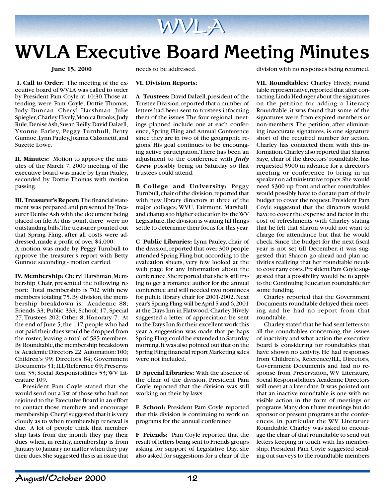

#### **June 15, 2000**

 **I. Call to Order:** The meeting of the executive board of WVLA was called to order by President Pam Coyle at 10:30. Those attending were Pam Coyle, Dottie Thomas, Judy Duncan, Cheryl Harshman, Julie Spiegler, Charley Hively, Monica Brooks, Judy Rule, Denise Ash, Susan Reilly, David Dalzell, Yvonne Farley, Peggy Turnbull, Betty Gunnoe, Lynn Pauley, Joanna Calzonetti, and Suzette Lowe.

**II. Minutes:** Motion to approve the minutes of the March 7, 2000 meeting of the executive board was made by Lynn Pauley, seconded by Dottie Thomas with motion passing.

**III. Treasurer's Report:** The financial statement was prepared and presented by Treasurer Denise Ash with the document being placed on file. At this point, there were no outstanding bills. The treasurer pointed out that Spring Fling, after all costs were addressed, made a profit of over \$4,000. A motion was made by Peggy Turnbull to approve the treasurer's report with Betty Gunnoe seconding - motion carried.

**IV. Membership:** Cheryl Harshman, Membership Chair, presented the following report: Total membership is 702 with new members totaling 75. By division, the membership breakdown is: Academic 88; Friends 33; Public 333; School: 17, Special 27, Trustees 202; Other 8; Honorary 7. At the end of June 5, the 117 people who had not paid their dues would be dropped from the roster, leaving a total of 585 members. By Roundtable, the membership breakdown is: Academic Directors 22; Automation: 100; Children's 99; Directors 84; Government Documents 31; ILL/Reference 69; Preservation 35; Social Responsibilities 53; WV Literature 109.

President Pam Coyle stated that she would send out a list of those who had not rejoined to the Executive Board in an effort to contact those members and encourage membership. Cheryl suggested that it is very cloudy as to when membership renewal is due. A lot of people think that membership lasts from the month they pay their dues when, in reality, membership is from January to January no matter when they pay their dues. She suggested this is an issue that needs to be addressed.

#### **VI. Division Reports:**

**A Trustees:** David Dalzell, president of the Trustee Division, reported that a number of letters had been sent to trustees informing them of the issues. The four regional meetings planned include one at each conference, Spring Fling and Annual Conference since they are in two of the geographic regions. His goal continues to be encouraging active participation. There has been an adjustment to the conference with *Judy Crew* possibly being on Saturday so that trustees could attend.

**B College and University:** Peggy Turnbull, chair of the division, reported that with new library directors at three of the major colleges, WVU, Fairmont, Marshall, and changes to higher education by the WV Legislature, the division is waiting till things settle to determine their focus for this year.

**C Public Libraries:** Lynn Pauley, chair of the division, reported that over 300 people attended Spring Fling but, according to the evaluation sheets, very few looked at the web page for any information about the conference. She reported that she is still trying to get a romance author for the annual conference and still needed two nominees for public library chair for 2001-2002. Next year's Spring Fling will be April 5 and 6, 2001 at the Days Inn in Flatwood. Charley Hively suggested a letter of appreciation be sent to the Days Inn for their excellent work this year. A suggestion was made that perhaps Spring Fling could be extended to Saturday morning. It was also pointed out that on the Spring Fling financial report Marketing sales were not included.

**D Special Libraries:** With the absence of the chair of the division, President Pam Coyle reported that the division was still working on their by-laws.

**E School:** President Pam Coyle reported that this division is continuing to work on programs for the annual conference

**F Friends:** Pam Coyle reported that the result of letters being sent to Friends groups asking for support of Legislative Day, she also asked for suggestions for a chair of the

division with no responses being returned.

**VII. Roundtables:** Charley Hively, round table representative, reported that after contacting Linda Hedinger about the signatures on the petition for adding a Literacy Roundtable, it was found that some of the signatures were from expired members or non-members. The petition, after eliminating inaccurate signatures, is one signature short of the required number for action. Charley has contacted them with this information. Charley also reported that Sharon Saye, chair of the directors' roundtable, has requested \$900 in advance for a director's meeting or conference to bring in an speaker on administrative topics. She would need \$300 up front and other roundtables would possibly have to donate part of their budget to cover the request. President Pam Coyle suggested that the directors would have to cover the expense and factor in the cost of refreshments with Charley stating that he felt that Sharon would not want to charge for attendance but that he would check. Since the budget for the next fiscal year is not set till December, it was suggested that Sharon go ahead and plan activities realizing that her roundtable needs to cover any costs. President Pam Coyle suggested that a possibility would be to apply to the Continuing Education roundtable for some funding.

Charley reported that the Government Documents roundtable delayed their meeting and he had no report from that roundtable.

Charley stated that he had sent letters to all the roundtables concerning the issues of inactivity and what action the executive board is considering for roundtables that have shown no activity. He had responses from Children's, Reference/ILL, Directors, Government Documents and had no response from Preservation, WV Literature, Social Responsibilities. Academic Directors will meet at a later date. It was pointed out that an inactive roundtable is one with no visible action in the form of meetings or programs. Many don't have meetings but do sponsor or present programs at the conferences, in particular the WV Literature Roundtable. Charley was asked to encourage the chair of that roundtable to send out letters keeping in touch with his membership. President Pam Coyle suggested sending out surveys to the roundtable members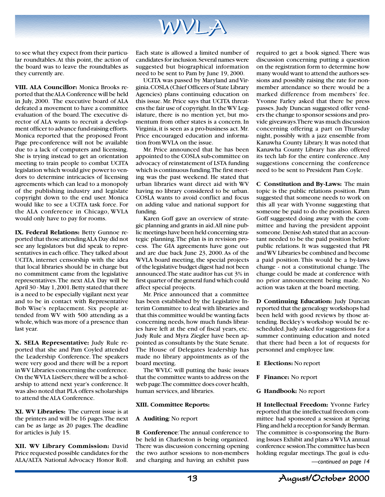

to see what they expect from their particular roundtables. At this point, the action of the board was to leave the roundtables as they currently are.

**VIII. ALA Councillor:** Monica Brooks reported that the ALA Conference will be held in July, 2000. The executive board of ALA defeated a movement to have a committee evaluation of the board. The executive director of ALA wants to recruit a development officer to advance fund-raising efforts. Monica reported that the proposed Front Page pre-conference will not be available due to a lack of computers and licensing. She is trying instead to get an orientation meeting to train people to combat UCITA legislation which would give power to vendors to determine intricacies of licensing agreements which can lead to a monopoly of the publishing industry and legislate copyright down to the end user. Monica would like to see a UCITA task force. For the ALA conference in Chicago, WVLA would only have to pay for rooms.

**IX. Federal Relations:** Betty Gunnoe reported that those attending ALA Day did not see any legislators but did speak to representatives in each office. They talked about UCITA, internet censorship with the idea that local libraries should be in charge but no commitment came from the legislative representatives. The next ALA Day will be April 30 - May 1, 2001. Betty stated that there is a need to be especially vigilant next year and to be in contact with Representative Bob Wise's replacement. Six people attended from WV with 500 attending as a whole, which was more of a presence than last year.

**X. SELA Representative:** Judy Rule reported that she and Pam Coyled attended the Leadership Conference. The speakers were very good and there will be a report in WV Libraries concerning the conference. On the WVLA ListServ, there will be a scholarship to attend next year's conference. It was also noted that PLA offers scholarships to attend the ALA Conference.

**XI. WV Libraries:** The current issue is at the printers and will be 16 pages. The next can be as large as 20 pages. The deadline for articles is July 15.

**XII. WV Library Commission:** David Price requested possible candidates for the ALA/ALTA National Advocacy Honor Roll.

Each state is allowed a limited number of candidates for inclusion. Several names were suggested but biographical information need to be sent to Pam by June 19, 2000.

UCITA was passed by Maryland and Virginia. COSLA (Chief Officers of State Library Agencies) plans continuing education on this issue. Mr. Price says that UCITA threatens the fair use of copyright. In the WV Legislature, there is no mention yet, but momentum from other states is a concern. In Virginia, it is seen as a pro-business act. Mr. Price encouraged education and information from WVLA on the issue.

Mr. Price announced that he has been appointed to the COSLA sub-committee on advocacy of reinstatement of LSTA funding which is continuous funding. The first meeting was the past weekend. He stated that urban libraries want direct aid with WV having no library considered to be urban. COSLA wants to avoid conflict and focus on adding value and national support for funding.

Karen Goff gave an overview of strategic planning and grants in aid. All nine public meetings have been held concerning strategic planning. The plan is in revision process. The GIA agreements have gone out and are due back June 23, 2000. As of the WVLA board meeting, the special projects of the legislative budget digest had not been announced. The state auditor has cut 3% in first quarter of the general fund which could affect special projects.

Mr. Price announced that a committee has been established by the Legislative Interim Committee to deal with libraries and that this committee would be wanting facts concerning needs, how much funds libraries have left at the end of fiscal years, etc. Judy Rule and Myra Ziegler have been appointed as consultants by the State Senate. The House of Delegates leadership has made no library appointments as of the board meeting.

The WVLC will putting the basic issues that the committee wants to address on the web page. The committee does cover health, human services, and libraries.

#### **XIII. Committee Reports:**

#### **A Auditing**: No report

**B Conference**: The annual conference to be held in Charleston is being organized. There was discussion concerning opening the two author sessions to non-members and charging and having an exhibit pass

required to get a book signed. There was discussion concerning putting a question on the registration form to determine how many would want to attend the authors sessions and possibly raising the rate for nonmember attendance so there would be a marked difference from members' fee. Yvonne Farley asked that there be press passes. Judy Duncan suggested offer venders the change to sponsor sessions and provide giveaways. There was much discussion concerning offering a part on Thursday night, possibly with a jazz ensemble from Kanawha County Library. It was noted that Kanawha County Library has also offered its tech lab for the entire conference. Any suggestions concerning the conference need to be sent to President Pam Coyle.

**C Constitution and By-Laws:** The main topic is the public relations position. Pam suggested that someone needs to work on this all year with Yvonne suggesting that someone be paid to do the position. Karen Goff suggested doing away with the committee and having the president appoint someone. Denise Ash stated that an accountant needed to be the paid position before public relations. It was suggested that PR and WV Libraries be combined and become a paid position. This would be a by-laws change - not a constitutional change. The change could be made at conference with no prior announcement being made. No action was taken at the board meeting.

**D Continuing Education:** Judy Duncan reported that the genealogy workshops had been held with good reviews by those attending. Beckley's workshop would be rescheduled. Judy asked for suggestions for a summer continuing education and noted that there had been a lot of requests for personnel and employee law.

- **E Elections:** No report
- **F Finance:** No report
- **G Handbook:** No report

**H Intellectual Freedom:** Yvonne Farley reported that the intellectual freedom committee had sponsored a session at Spring Fling and held a reception for Sandy Berman. The committee is co-sponsoring the Burning Issues Exhibit and plans a WVLA annual conference session. The committee has been holding regular meetings. The goal is edu- *—continued on page 14*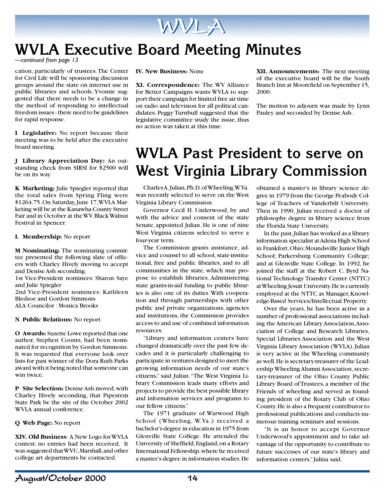

## **WVLA Executive Board Meeting Minutes**

*—continued from page 13*

cation, particularly of trustees. The Center for Civil Life will be sponsoring discussion groups around the state on internet use in public libraries and schools. Yvonne suggested that there needs to be a change in the method of responding to intellectual freedom issues - there need to be guidelines for rapid response.

**I Legislative:** No report because their meeting was to be held after the executive board meeting.

**J Library Appreciation Day:** An outstanding check from SIRSI for \$2500 will be on its way.

**K Marketing:** Julie Spiegler reported that the total sales from Spring Fling were \$1264.75. On Saturday, June 17, WVLA Marketing will be at the Kanawha County Street Fair and in October at the WV Black Walnut Festival in Spencer.

**L Membership:** No report

**M Nominating:** The nominating committee presented the following slate of officers with Charley Hively moving to accept and Denise Ash seconding.

1st Vice-President nominees: Sharon Saye and Julie Spiegler

2nd Vice-President nominees: Kathleen Bledsoe and Gordon Simmons ALA Councilor : Monica Brooks

**N Public Relations:** No report

**O Awards:** Suzette Lowe reported that one author, Stephen Coonts, had been nominated for recognition by Gordon Simmons. It was requested that everyone look over lists for past winner of the Dora Ruth Parks award with it being noted that someone can win twice.

**P Site Selection:** Denise Ash moved, with Charley Hively seconding, that Pipestem State Park be the site of the October 2002 WVLA annual conference.

**Q Web Page:** No report

**XIV. Old Business**: A New Logo for WVLA contest: no entries had been received. It was suggested that WVU, Marshall, and other college art departments be contacted.

**IV. New Business:** None

**XI. Correspondence:** The WV Alliance for Better Campaigns wants WVLA to support their campaign for limited free air time on radio and television for all political candidates. Peggy Turnbull suggested that the legislative committee study the issue, thus no action was taken at this time.

**XII. Announcements:** The next meeting of the executive board will be the South Branch Inn at Moorefield on September 15, 2000.

The motion to adjourn was made by Lynn Pauley and seconded by Denise Ash.

## **WVLA Past President to serve on West Virginia Library Commission**

Charles A. Julian, Ph.D. of Wheeling, W.Va. was recently selected to serve on the West Virginia Library Commission.

Governor Cecil H. Underwood, by and with the advice and consent of the state Senate, appointed Julian. He is one of nine West Virginia citizens selected to serve a four-year term.

The Commission grants assistance, advice and counsel to all school, state-institutional, free and public libraries, and to all communities in the state, which may propose to establish libraries. Administering state grants-in-aid funding to public libraries is also one of its duties. With cooperation and through partnerships with other public and private organizations, agencies and institutions, the Commission provides access to and use of combined information resources.

"Library and information centers have changed dramatically over the past few decades and it is particularly challenging to participate in ventures designed to meet the growing information needs of our state's citizens," said Julian. "The West Virginia Library Commission leads many efforts and projects to provide the best possible library and information services and programs to our fellow citizens."

The 1971 graduate of Warwood High School (Wheeling, W.Va.) received a bachelor's degree in education in 1975 from Glenville State College. He attended the University of Sheffield, England, on a Rotary International Fellowship, where he received a master's degree in information studies. He

obtained a master's in library science degree in 1979 from the George Peabody College of Teachers of Vanderbilt University. Then in 1990, Julian received a doctor of philosophy degree in library science from the Florida State University.

In the past, Julian has worked as a library information specialist at Adena High School in Frankfort, Ohio; Moundsville Junior High School; Parkersburg Community College; and at Glenville State College. In 1992, he joined the staff at the Robert C. Byrd National Technology Transfer Center (NTTC) at Wheeling Jesuit University. He is currently employed at the NTTC as Manager, Knowledge-Based Services/Intellectual Property.

Over the years, he has been active in a number of professional associations including the American Library Association, Association of College and Research Libraries, Special Libraries Association and the West Virginia Library Association (WVLA). Julian is very active in the Wheeling community as well. He is secretary-treasurer of the Leadership Wheeling Alumni Association, secretary-treasurer of the Ohio County Public Library Board of Trustees, a member of the Friends of wheeling and served as founding president of the Rotary Club of Ohio County. He is also a frequent contributor to professional publications and conducts numerous training seminars and sessions.

"It is an honor to accept Governor Underwood's appointment and to take advantage of the opportunity to contribute to future successes of our state's library and information centers," Julina said.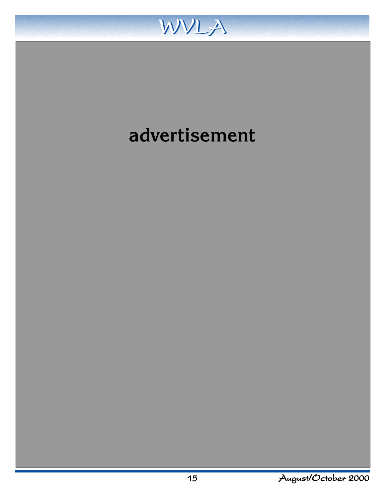

# **advertisement**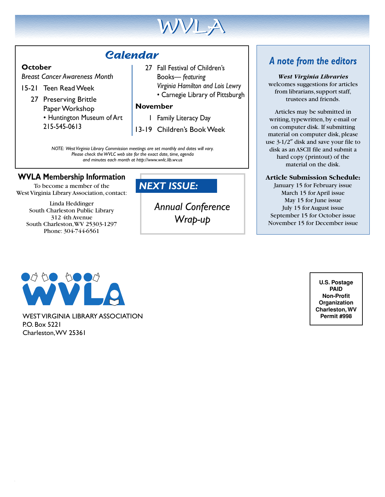

## **Calendar**

#### **October**

 *Breast Cancer Awareness Month*

- 15-21 Teen Read Week
	- 27 Preserving Brittle Paper Workshop • Huntington Museum of Art
		- 215-545-0613
- 27 Fall Festival of Children's Books— *featuring Virginia Hamilton and Lois Lewry*
	- Carnegie Library of Pittsburgh

#### **November**

- 1 Family Literacy Day
- 13-19 Children's Book Week

*NOTE: West Virginia Library Commission meetings are set monthly and dates will vary. Please check the WVLC web site for the exact date, time, agenda and minutes each month at http://www.wvlc.lib.wv.us*

### **WVLA Membership Information**

To become a member of the West Virginia Library Association, contact:

Linda Heddinger South Charleston Public Library 312 4th Avenue South Charleston, WV 25303-1297 Phone: 304-744-6561

### *NEXT ISSUE:*

*Annual Conference Wrap-up*

### *A note from the editors*

#### *West Virginia Libraries* welcomes suggestions for articles from librarians, support staff, trustees and friends.

Articles may be submitted in writing, typewritten, by e-mail or on computer disk. If submitting material on computer disk, please use 3-1/2″ disk and save your file to disk as an ASCII file and submit a hard copy (printout) of the material on the disk.

#### **Article Submission Schedule:**

January 15 for February issue March 15 for April issue May 15 for June issue July 15 for August issue September 15 for October issue November 15 for December issue



WEST VIRGINIA LIBRARY ASSOCIATION **Permit #998** P.O. Box 5221 Charleston, WV 25361

**U.S. Postage PAID Non-Profit Organization Charleston, WV**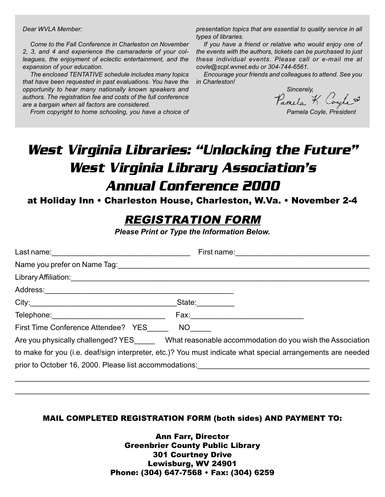#### Dear WVLA Member:

Come to the Fall Conference in Charleston on November 2, 3, and 4 and experience the camaraderie of your colleagues, the enjoyment of eclectic entertainment, and the expansion of your education.

The enclosed TENTATIVE schedule includes many topics that have been requested in past evaluations. You have the opportunity to hear many nationally known speakers and authors. The registration fee and costs of the full conference are a bargain when all factors are considered.

From copyright to home schooling, you have a choice of

presentatio<br>Mypes of libr<br>Mypes of libr presentation topics that are essential to quality service in all types of libraries.

> If you have a friend or relative who would enjoy one of the events with the authors, tickets can be purchased to just these individual events. Please call or e-mail me at covle@scpl.wvnet.edu or 304-744-6561.

> Encourage your friends and colleagues to attend. See you in Charleston!

Sincerely,<br>Pamela K. Coyle

Pamela Coyle, President

## *West Virginia Libraries: "Unlocking the Future" West Virginia Library Association's Annual Conference 2000*

at Holiday Inn • Charleston House, Charleston, W.Va. • November 2-4

### REGISTRATION FORM

**Please Print or Type the Information Below.**

| Name you prefer on Name Tag: Name Tag: Name Service Contract on the Contract of the Contract of the Contract of Tag |        |  |
|---------------------------------------------------------------------------------------------------------------------|--------|--|
|                                                                                                                     |        |  |
|                                                                                                                     |        |  |
|                                                                                                                     | State: |  |
|                                                                                                                     |        |  |
| First Time Conference Attendee? YES<br>NO <sub>th</sub>                                                             |        |  |
| Are you physically challenged? YES What reasonable accommodation do you wish the Association                        |        |  |
| to make for you (i.e. deaf/sign interpreter, etc.)? You must indicate what special arrangements are needed          |        |  |
| prior to October 16, 2000. Please list accommodations: [19] The Contract of Contract of the Contract of Contract of |        |  |

#### MAIL COMPLETED REGISTRATION FORM (both sides) AND PAYMENT TO:

\_\_\_\_\_\_\_\_\_\_\_\_\_\_\_\_\_\_\_\_\_\_\_\_\_\_\_\_\_\_\_\_\_\_\_\_\_\_\_\_\_\_\_\_\_\_\_\_\_\_\_\_\_\_\_\_\_\_\_\_\_\_\_\_\_\_\_\_\_\_\_\_\_\_\_\_\_\_\_\_\_\_\_\_\_ \_\_\_\_\_\_\_\_\_\_\_\_\_\_\_\_\_\_\_\_\_\_\_\_\_\_\_\_\_\_\_\_\_\_\_\_\_\_\_\_\_\_\_\_\_\_\_\_\_\_\_\_\_\_\_\_\_\_\_\_\_\_\_\_\_\_\_\_\_\_\_\_\_\_\_\_\_\_\_\_\_\_\_\_\_

> $1200$  and  $(001)$   $(000)$ Ann Farr, Director Greenbrier County Public Library 301 Courtney Drive Lewisburg, WV 24901 Phone: (304) 647-7568 • Fax: (304) 6259